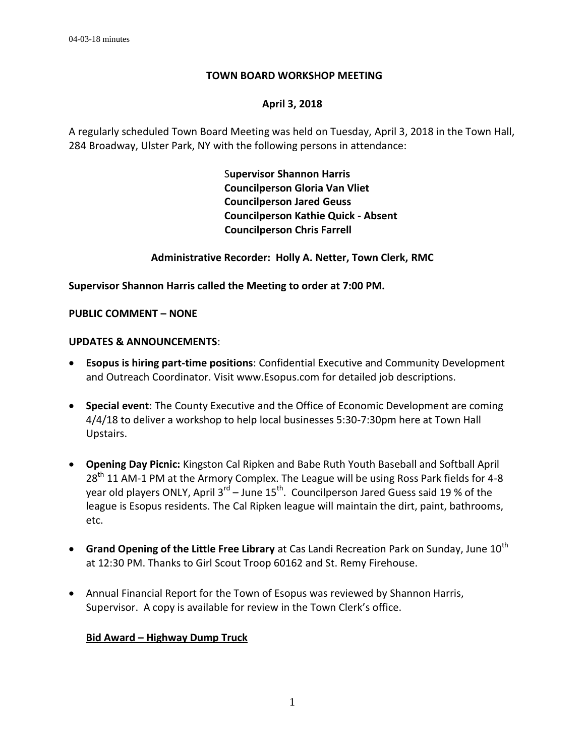## **TOWN BOARD WORKSHOP MEETING**

## **April 3, 2018**

A regularly scheduled Town Board Meeting was held on Tuesday, April 3, 2018 in the Town Hall, 284 Broadway, Ulster Park, NY with the following persons in attendance:

> S**upervisor Shannon Harris Councilperson Gloria Van Vliet Councilperson Jared Geuss Councilperson Kathie Quick - Absent Councilperson Chris Farrell**

**Administrative Recorder: Holly A. Netter, Town Clerk, RMC**

**Supervisor Shannon Harris called the Meeting to order at 7:00 PM.** 

**PUBLIC COMMENT – NONE**

## **UPDATES & ANNOUNCEMENTS**:

- **Esopus is hiring part-time positions**: Confidential Executive and Community Development and Outreach Coordinator. Visit www.Esopus.com for detailed job descriptions.
- **Special event**: The County Executive and the Office of Economic Development are coming 4/4/18 to deliver a workshop to help local businesses 5:30-7:30pm here at Town Hall Upstairs.
- **Opening Day Picnic:** Kingston Cal Ripken and Babe Ruth Youth Baseball and Softball April  $28<sup>th</sup>$  11 AM-1 PM at the Armory Complex. The League will be using Ross Park fields for 4-8 year old players ONLY, April 3<sup>rd</sup> – June 15<sup>th</sup>. Councilperson Jared Guess said 19 % of the league is Esopus residents. The Cal Ripken league will maintain the dirt, paint, bathrooms, etc.
- **Grand Opening of the Little Free Library** at Cas Landi Recreation Park on Sunday, June 10<sup>th</sup> at 12:30 PM. Thanks to Girl Scout Troop 60162 and St. Remy Firehouse.
- Annual Financial Report for the Town of Esopus was reviewed by Shannon Harris, Supervisor. A copy is available for review in the Town Clerk's office.

## **Bid Award – Highway Dump Truck**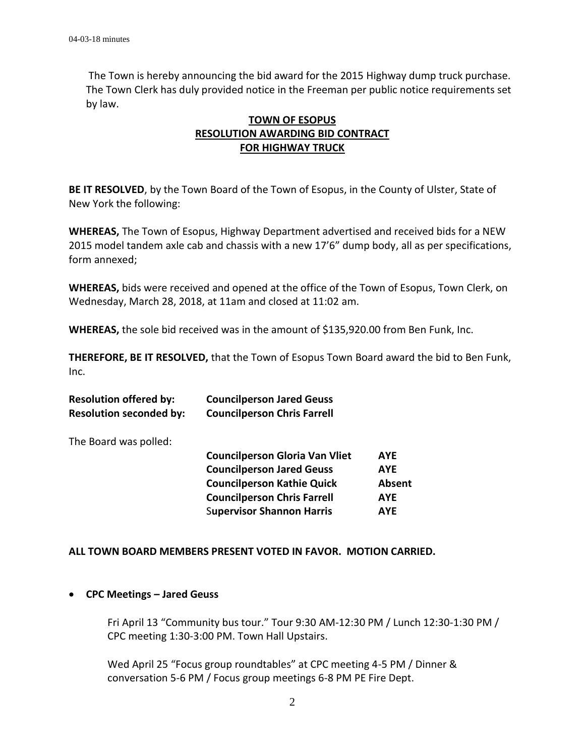The Town is hereby announcing the bid award for the 2015 Highway dump truck purchase. The Town Clerk has duly provided notice in the Freeman per public notice requirements set by law.

# **TOWN OF ESOPUS RESOLUTION AWARDING BID CONTRACT FOR HIGHWAY TRUCK**

**BE IT RESOLVED**, by the Town Board of the Town of Esopus, in the County of Ulster, State of New York the following:

**WHEREAS,** The Town of Esopus, Highway Department advertised and received bids for a NEW 2015 model tandem axle cab and chassis with a new 17'6" dump body, all as per specifications, form annexed;

**WHEREAS,** bids were received and opened at the office of the Town of Esopus, Town Clerk, on Wednesday, March 28, 2018, at 11am and closed at 11:02 am.

**WHEREAS,** the sole bid received was in the amount of \$135,920.00 from Ben Funk, Inc.

**THEREFORE, BE IT RESOLVED,** that the Town of Esopus Town Board award the bid to Ben Funk, Inc.

| <b>Resolution offered by:</b>  | <b>Councilperson Jared Geuss</b>   |
|--------------------------------|------------------------------------|
| <b>Resolution seconded by:</b> | <b>Councilperson Chris Farrell</b> |

The Board was polled:

| <b>Councilperson Gloria Van Vliet</b> | <b>AYF</b> |
|---------------------------------------|------------|
| <b>Councilperson Jared Geuss</b>      | AYE        |
| <b>Councilperson Kathie Quick</b>     | Absent     |
| <b>Councilperson Chris Farrell</b>    | <b>AYF</b> |
| <b>Supervisor Shannon Harris</b>      | <b>AYF</b> |

#### **ALL TOWN BOARD MEMBERS PRESENT VOTED IN FAVOR. MOTION CARRIED.**

#### **CPC Meetings – Jared Geuss**

Fri April 13 "Community bus tour." Tour 9:30 AM-12:30 PM / Lunch 12:30-1:30 PM / CPC meeting 1:30-3:00 PM. Town Hall Upstairs.

Wed April 25 "Focus group roundtables" at CPC meeting 4-5 PM / Dinner & conversation 5-6 PM / Focus group meetings 6-8 PM PE Fire Dept.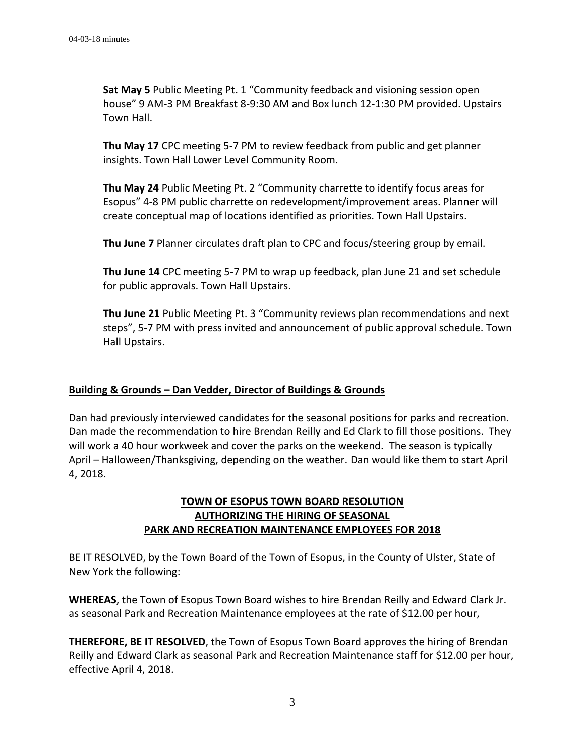**Sat May 5** Public Meeting Pt. 1 "Community feedback and visioning session open house" 9 AM-3 PM Breakfast 8-9:30 AM and Box lunch 12-1:30 PM provided. Upstairs Town Hall.

**Thu May 17** CPC meeting 5-7 PM to review feedback from public and get planner insights. Town Hall Lower Level Community Room.

**Thu May 24** Public Meeting Pt. 2 "Community charrette to identify focus areas for Esopus" 4-8 PM public charrette on redevelopment/improvement areas. Planner will create conceptual map of locations identified as priorities. Town Hall Upstairs.

**Thu June 7** Planner circulates draft plan to CPC and focus/steering group by email.

**Thu June 14** CPC meeting 5-7 PM to wrap up feedback, plan June 21 and set schedule for public approvals. Town Hall Upstairs.

**Thu June 21** Public Meeting Pt. 3 "Community reviews plan recommendations and next steps", 5-7 PM with press invited and announcement of public approval schedule. Town Hall Upstairs.

## **Building & Grounds – Dan Vedder, Director of Buildings & Grounds**

Dan had previously interviewed candidates for the seasonal positions for parks and recreation. Dan made the recommendation to hire Brendan Reilly and Ed Clark to fill those positions. They will work a 40 hour workweek and cover the parks on the weekend. The season is typically April – Halloween/Thanksgiving, depending on the weather. Dan would like them to start April 4, 2018.

# **TOWN OF ESOPUS TOWN BOARD RESOLUTION AUTHORIZING THE HIRING OF SEASONAL PARK AND RECREATION MAINTENANCE EMPLOYEES FOR 2018**

BE IT RESOLVED, by the Town Board of the Town of Esopus, in the County of Ulster, State of New York the following:

**WHEREAS**, the Town of Esopus Town Board wishes to hire Brendan Reilly and Edward Clark Jr. as seasonal Park and Recreation Maintenance employees at the rate of \$12.00 per hour,

**THEREFORE, BE IT RESOLVED**, the Town of Esopus Town Board approves the hiring of Brendan Reilly and Edward Clark as seasonal Park and Recreation Maintenance staff for \$12.00 per hour, effective April 4, 2018.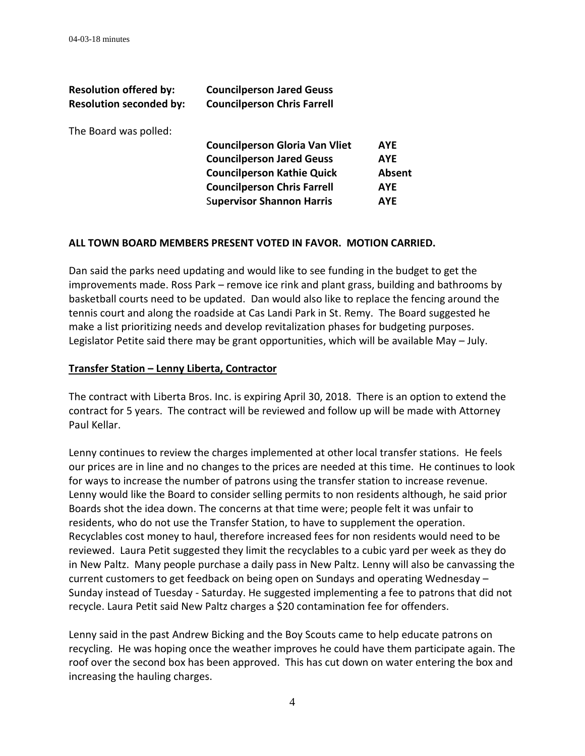| <b>Resolution offered by:</b><br><b>Resolution seconded by:</b> | <b>Councilperson Jared Geuss</b><br><b>Councilperson Chris Farrell</b> |            |
|-----------------------------------------------------------------|------------------------------------------------------------------------|------------|
| The Board was polled:                                           |                                                                        |            |
|                                                                 | <b>Councilperson Gloria Van Vliet</b>                                  | <b>AYE</b> |
|                                                                 | <b>Councilperson Jared Geuss</b>                                       | <b>AYE</b> |
|                                                                 | <b>Councilperson Kathie Quick</b>                                      | Absent     |
|                                                                 | <b>Councilperson Chris Farrell</b>                                     | <b>AYE</b> |
|                                                                 | <b>Supervisor Shannon Harris</b>                                       | AYE        |
|                                                                 |                                                                        |            |

#### **ALL TOWN BOARD MEMBERS PRESENT VOTED IN FAVOR. MOTION CARRIED.**

Dan said the parks need updating and would like to see funding in the budget to get the improvements made. Ross Park – remove ice rink and plant grass, building and bathrooms by basketball courts need to be updated. Dan would also like to replace the fencing around the tennis court and along the roadside at Cas Landi Park in St. Remy. The Board suggested he make a list prioritizing needs and develop revitalization phases for budgeting purposes. Legislator Petite said there may be grant opportunities, which will be available May – July.

#### **Transfer Station – Lenny Liberta, Contractor**

The contract with Liberta Bros. Inc. is expiring April 30, 2018. There is an option to extend the contract for 5 years. The contract will be reviewed and follow up will be made with Attorney Paul Kellar.

Lenny continues to review the charges implemented at other local transfer stations. He feels our prices are in line and no changes to the prices are needed at this time. He continues to look for ways to increase the number of patrons using the transfer station to increase revenue. Lenny would like the Board to consider selling permits to non residents although, he said prior Boards shot the idea down. The concerns at that time were; people felt it was unfair to residents, who do not use the Transfer Station, to have to supplement the operation. Recyclables cost money to haul, therefore increased fees for non residents would need to be reviewed. Laura Petit suggested they limit the recyclables to a cubic yard per week as they do in New Paltz. Many people purchase a daily pass in New Paltz. Lenny will also be canvassing the current customers to get feedback on being open on Sundays and operating Wednesday – Sunday instead of Tuesday - Saturday. He suggested implementing a fee to patrons that did not recycle. Laura Petit said New Paltz charges a \$20 contamination fee for offenders.

Lenny said in the past Andrew Bicking and the Boy Scouts came to help educate patrons on recycling. He was hoping once the weather improves he could have them participate again. The roof over the second box has been approved. This has cut down on water entering the box and increasing the hauling charges.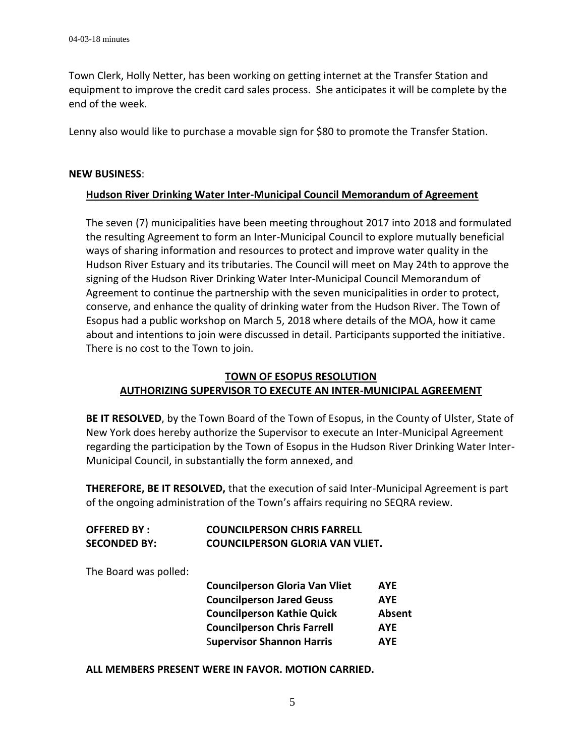Town Clerk, Holly Netter, has been working on getting internet at the Transfer Station and equipment to improve the credit card sales process. She anticipates it will be complete by the end of the week.

Lenny also would like to purchase a movable sign for \$80 to promote the Transfer Station.

#### **NEW BUSINESS**:

#### **Hudson River Drinking Water Inter-Municipal Council Memorandum of Agreement**

The seven (7) municipalities have been meeting throughout 2017 into 2018 and formulated the resulting Agreement to form an Inter-Municipal Council to explore mutually beneficial ways of sharing information and resources to protect and improve water quality in the Hudson River Estuary and its tributaries. The Council will meet on May 24th to approve the signing of the Hudson River Drinking Water Inter-Municipal Council Memorandum of Agreement to continue the partnership with the seven municipalities in order to protect, conserve, and enhance the quality of drinking water from the Hudson River. The Town of Esopus had a public workshop on March 5, 2018 where details of the MOA, how it came about and intentions to join were discussed in detail. Participants supported the initiative. There is no cost to the Town to join.

# **TOWN OF ESOPUS RESOLUTION AUTHORIZING SUPERVISOR TO EXECUTE AN INTER-MUNICIPAL AGREEMENT**

**BE IT RESOLVED**, by the Town Board of the Town of Esopus, in the County of Ulster, State of New York does hereby authorize the Supervisor to execute an Inter-Municipal Agreement regarding the participation by the Town of Esopus in the Hudson River Drinking Water Inter-Municipal Council, in substantially the form annexed, and

**THEREFORE, BE IT RESOLVED,** that the execution of said Inter-Municipal Agreement is part of the ongoing administration of the Town's affairs requiring no SEQRA review.

| <b>OFFERED BY:</b>  | <b>COUNCILPERSON CHRIS FARRELL</b> |
|---------------------|------------------------------------|
| <b>SECONDED BY:</b> | COUNCILPERSON GLORIA VAN VLIET.    |

The Board was polled:

| <b>Councilperson Gloria Van Vliet</b> | <b>AYE</b>    |
|---------------------------------------|---------------|
| <b>Councilperson Jared Geuss</b>      | <b>AYE</b>    |
| <b>Councilperson Kathie Quick</b>     | <b>Absent</b> |
| <b>Councilperson Chris Farrell</b>    | <b>AYE</b>    |
| <b>Supervisor Shannon Harris</b>      | AYE           |

**ALL MEMBERS PRESENT WERE IN FAVOR. MOTION CARRIED.**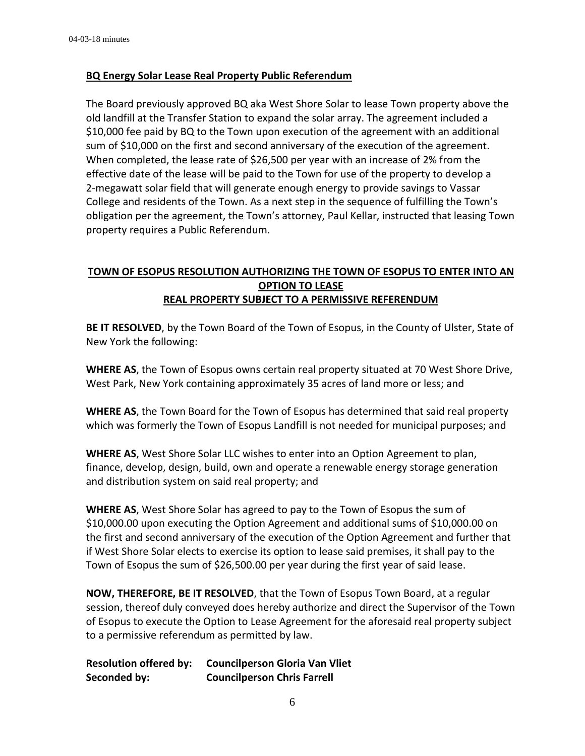#### **BQ Energy Solar Lease Real Property Public Referendum**

The Board previously approved BQ aka West Shore Solar to lease Town property above the old landfill at the Transfer Station to expand the solar array. The agreement included a \$10,000 fee paid by BQ to the Town upon execution of the agreement with an additional sum of \$10,000 on the first and second anniversary of the execution of the agreement. When completed, the lease rate of \$26,500 per year with an increase of 2% from the effective date of the lease will be paid to the Town for use of the property to develop a 2-megawatt solar field that will generate enough energy to provide savings to Vassar College and residents of the Town. As a next step in the sequence of fulfilling the Town's obligation per the agreement, the Town's attorney, Paul Kellar, instructed that leasing Town property requires a Public Referendum.

# **TOWN OF ESOPUS RESOLUTION AUTHORIZING THE TOWN OF ESOPUS TO ENTER INTO AN OPTION TO LEASE REAL PROPERTY SUBJECT TO A PERMISSIVE REFERENDUM**

**BE IT RESOLVED**, by the Town Board of the Town of Esopus, in the County of Ulster, State of New York the following:

**WHERE AS**, the Town of Esopus owns certain real property situated at 70 West Shore Drive, West Park, New York containing approximately 35 acres of land more or less; and

**WHERE AS**, the Town Board for the Town of Esopus has determined that said real property which was formerly the Town of Esopus Landfill is not needed for municipal purposes; and

**WHERE AS**, West Shore Solar LLC wishes to enter into an Option Agreement to plan, finance, develop, design, build, own and operate a renewable energy storage generation and distribution system on said real property; and

**WHERE AS**, West Shore Solar has agreed to pay to the Town of Esopus the sum of \$10,000.00 upon executing the Option Agreement and additional sums of \$10,000.00 on the first and second anniversary of the execution of the Option Agreement and further that if West Shore Solar elects to exercise its option to lease said premises, it shall pay to the Town of Esopus the sum of \$26,500.00 per year during the first year of said lease.

**NOW, THEREFORE, BE IT RESOLVED**, that the Town of Esopus Town Board, at a regular session, thereof duly conveyed does hereby authorize and direct the Supervisor of the Town of Esopus to execute the Option to Lease Agreement for the aforesaid real property subject to a permissive referendum as permitted by law.

**Resolution offered by: Councilperson Gloria Van Vliet Seconded by: Councilperson Chris Farrell**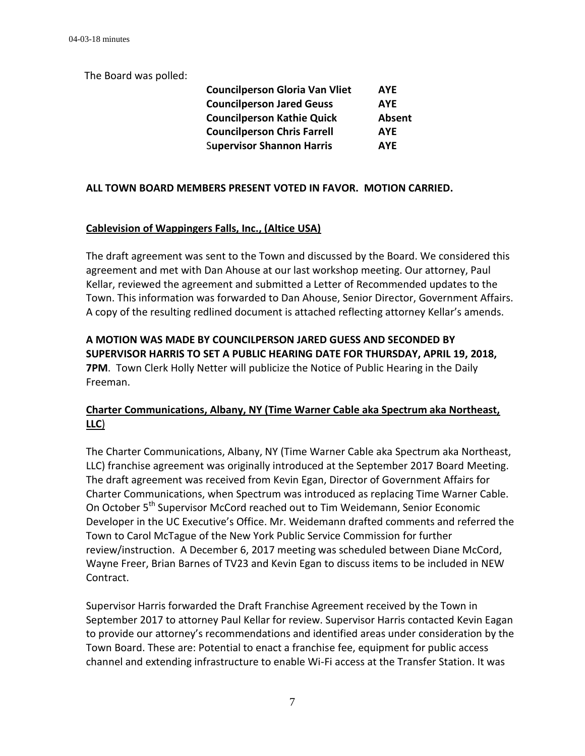The Board was polled:

| <b>Councilperson Gloria Van Vliet</b> | <b>AYE</b> |
|---------------------------------------|------------|
| <b>Councilperson Jared Geuss</b>      | <b>AYE</b> |
| <b>Councilperson Kathie Quick</b>     | Absent     |
| <b>Councilperson Chris Farrell</b>    | <b>AYE</b> |
| <b>Supervisor Shannon Harris</b>      | <b>AYE</b> |

## **ALL TOWN BOARD MEMBERS PRESENT VOTED IN FAVOR. MOTION CARRIED.**

## **Cablevision of Wappingers Falls, Inc., (Altice USA)**

The draft agreement was sent to the Town and discussed by the Board. We considered this agreement and met with Dan Ahouse at our last workshop meeting. Our attorney, Paul Kellar, reviewed the agreement and submitted a Letter of Recommended updates to the Town. This information was forwarded to Dan Ahouse, Senior Director, Government Affairs. A copy of the resulting redlined document is attached reflecting attorney Kellar's amends.

**A MOTION WAS MADE BY COUNCILPERSON JARED GUESS AND SECONDED BY SUPERVISOR HARRIS TO SET A PUBLIC HEARING DATE FOR THURSDAY, APRIL 19, 2018, 7PM**. Town Clerk Holly Netter will publicize the Notice of Public Hearing in the Daily Freeman.

## **Charter Communications, Albany, NY (Time Warner Cable aka Spectrum aka Northeast, LLC**)

The Charter Communications, Albany, NY (Time Warner Cable aka Spectrum aka Northeast, LLC) franchise agreement was originally introduced at the September 2017 Board Meeting. The draft agreement was received from Kevin Egan, Director of Government Affairs for Charter Communications, when Spectrum was introduced as replacing Time Warner Cable. On October 5<sup>th</sup> Supervisor McCord reached out to Tim Weidemann, Senior Economic Developer in the UC Executive's Office. Mr. Weidemann drafted comments and referred the Town to Carol McTague of the New York Public Service Commission for further review/instruction. A December 6, 2017 meeting was scheduled between Diane McCord, Wayne Freer, Brian Barnes of TV23 and Kevin Egan to discuss items to be included in NEW Contract.

Supervisor Harris forwarded the Draft Franchise Agreement received by the Town in September 2017 to attorney Paul Kellar for review. Supervisor Harris contacted Kevin Eagan to provide our attorney's recommendations and identified areas under consideration by the Town Board. These are: Potential to enact a franchise fee, equipment for public access channel and extending infrastructure to enable Wi-Fi access at the Transfer Station. It was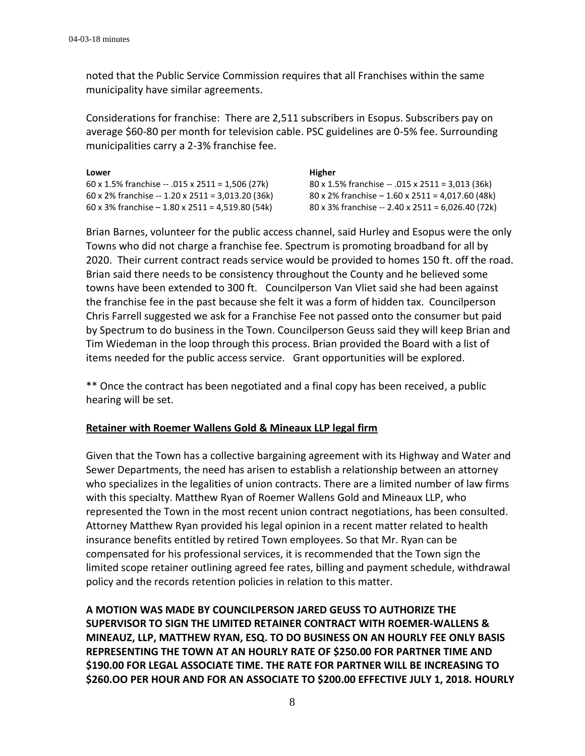noted that the Public Service Commission requires that all Franchises within the same municipality have similar agreements.

Considerations for franchise: There are 2,511 subscribers in Esopus. Subscribers pay on average \$60-80 per month for television cable. PSC guidelines are 0-5% fee. Surrounding municipalities carry a 2-3% franchise fee.

| Lower                                             | Higher                                            |
|---------------------------------------------------|---------------------------------------------------|
| 60 x 1.5% franchise -- .015 x 2511 = 1,506 (27k)  | 80 x 1.5% franchise -- .015 x 2511 = 3,013 (36k)  |
| 60 x 2% franchise -- 1.20 x 2511 = 3,013.20 (36k) | 80 x 2% franchise $-1.60$ x 2511 = 4,017.60 (48k) |
| 60 x 3% franchise $-1.80$ x 2511 = 4,519.80 (54k) | 80 x 3% franchise -- 2.40 x 2511 = 6,026.40 (72k) |

Brian Barnes, volunteer for the public access channel, said Hurley and Esopus were the only Towns who did not charge a franchise fee. Spectrum is promoting broadband for all by 2020. Their current contract reads service would be provided to homes 150 ft. off the road. Brian said there needs to be consistency throughout the County and he believed some towns have been extended to 300 ft. Councilperson Van Vliet said she had been against the franchise fee in the past because she felt it was a form of hidden tax. Councilperson Chris Farrell suggested we ask for a Franchise Fee not passed onto the consumer but paid by Spectrum to do business in the Town. Councilperson Geuss said they will keep Brian and Tim Wiedeman in the loop through this process. Brian provided the Board with a list of items needed for the public access service. Grant opportunities will be explored.

\*\* Once the contract has been negotiated and a final copy has been received, a public hearing will be set.

#### **Retainer with Roemer Wallens Gold & Mineaux LLP legal firm**

Given that the Town has a collective bargaining agreement with its Highway and Water and Sewer Departments, the need has arisen to establish a relationship between an attorney who specializes in the legalities of union contracts. There are a limited number of law firms with this specialty. Matthew Ryan of Roemer Wallens Gold and Mineaux LLP, who represented the Town in the most recent union contract negotiations, has been consulted. Attorney Matthew Ryan provided his legal opinion in a recent matter related to health insurance benefits entitled by retired Town employees. So that Mr. Ryan can be compensated for his professional services, it is recommended that the Town sign the limited scope retainer outlining agreed fee rates, billing and payment schedule, withdrawal policy and the records retention policies in relation to this matter.

**A MOTION WAS MADE BY COUNCILPERSON JARED GEUSS TO AUTHORIZE THE SUPERVISOR TO SIGN THE LIMITED RETAINER CONTRACT WITH ROEMER-WALLENS & MINEAUZ, LLP, MATTHEW RYAN, ESQ. TO DO BUSINESS ON AN HOURLY FEE ONLY BASIS REPRESENTING THE TOWN AT AN HOURLY RATE OF \$250.00 FOR PARTNER TIME AND \$190.00 FOR LEGAL ASSOCIATE TIME. THE RATE FOR PARTNER WILL BE INCREASING TO \$260.OO PER HOUR AND FOR AN ASSOCIATE TO \$200.00 EFFECTIVE JULY 1, 2018. HOURLY**